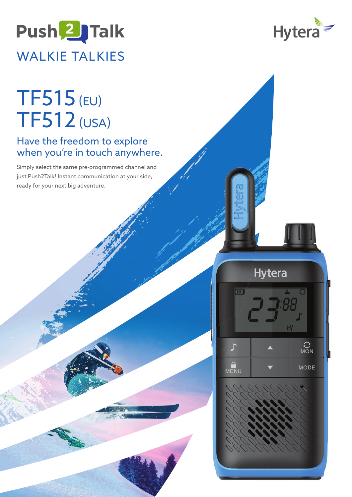## Push<sup>2</sup>JTalk WALKIE TALKIES



## Have the freedom to explore when you're in touch anywhere.

Simply select the same pre-programmed channel and just Push2Talk! Instant communication at your side, ready for your next big adventure.



**Hytera** 

 $\sum_{MON}$ 

MODE

Œ

ਾ

MENU